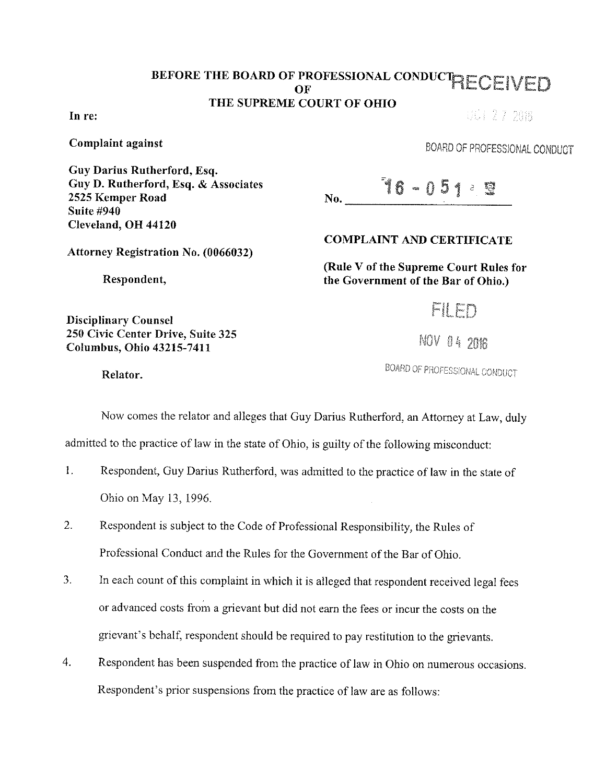# BEFORE THE BOARD OF PROFESSIONAL CONDUCTRECEIVED THE SUPREME COURT OF OHIO

In re:

Complaint against

Guy Darius Rutherford, Esq. Guy D. Rutherford, Esq. & Associates 2525 Kemper Road Suite #940 Cleveland, OH 44120

Attorney Registration No. (0066032)

250 Civic Center Drive, Suite 325 Columbus, Ohio 43215-7411

以12720路

BOARD OF PROFESSIONAL CONDUCT

 $N_0.$  16 - 051 2

COMPLAINT AND CERTIFICATE

(Rule V of the Supreme Court Rules for the Government of the Bar of Ohio.)

FII FN

**NOV 04 2016** 

Relator.

Disciplinary Counsel

Respondent,

BOARD OF PROFESSIONAL CONDUCT

Now comes the relator and alleges that Guy Darius Rutherford, an Attorney at Law, duly

admitted to the practice of law in the state of Ohio, is guilty of the following misconduct:

- 1. Respondent, Guy Darius Rutherford, was admitted to the practice of law in the state of Ohio on May 13, 1996.
- 2. Respondent is subject to the Code of Professional Responsibility, the Rules of Professional Conduct and the Rules for the Government of the Bar of Ohio.
- 3. In each count of this complaint in which it is alleged that respondent received legal fees or advanced costs from a grievant but did not earn the fees or incur the costs on the grievant's behalf, respondent should be required to pay restitution to the grievants.
- 4. Respondent has been suspended from the practice of law in Ohio on numerous occasions. Respondent's prior suspensions from the practice of law are as follows: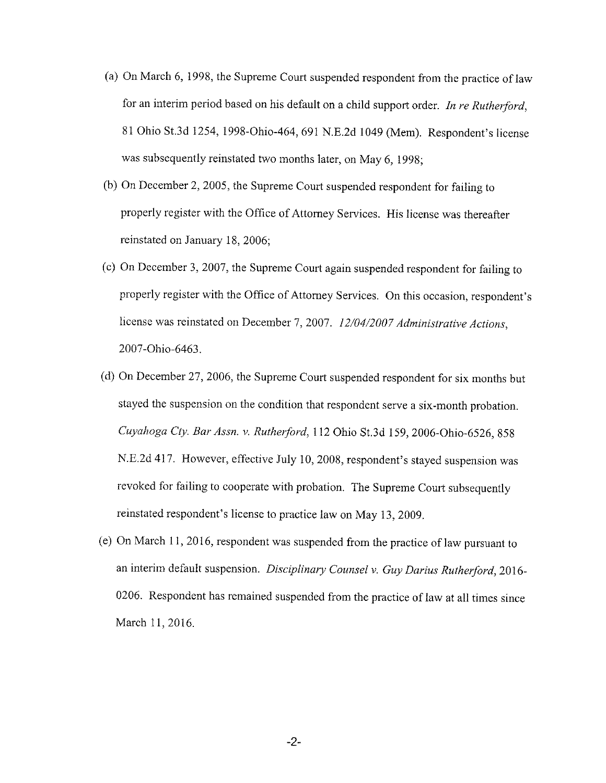- (a) On March 6, 1998, the Supreme Court suspended respondent from the practice of law for an interim period based on his default on a child support order. *In re Rutherford,*  81 Ohio St.3d 1254, 1998-0hio-464, 691 N.E.2d 1049 (Mem). Respondent's license was subsequently reinstated two months later, on May 6, 1998;
- (b) On December 2, 2005, the Supreme Court suspended respondent for failing to properly register with the Office of Attorney Services. His license was thereafter reinstated on January 18, 2006;
- (c) On December 3, 2007, the Supreme Court again suspended respondent for failing to properly register with the Office of Attorney Services. On this occasion, respondent's license was reinstated on December 7, 2007. *12/04/2007 Administrative Actions,*  2007-0hio-6463.
- ( d) On December 27, 2006, the Supreme Court suspended respondent for six months but stayed the suspension on the condition that respondent serve a six-month probation. *Cuyahoga Cty. Bar Assn. v. Rutherford,* 112 Ohio St.3d 159, 2006-0hio-6526, 858 N.E.2d 417. However, effective July 10, 2008, respondent's stayed suspension was revoked for failing to cooperate with probation. The Supreme Court subsequently reinstated respondent's license to practice law on May 13, 2009.
- ( e) On March 11, 2016, respondent was suspended from the practice of law pursuant to an interim default suspension. *Disciplinary Counsel v. Guy Darius Rutherford,* 2016- 0206. Respondent has remained suspended from the practice of law at all times since March 11, 2016.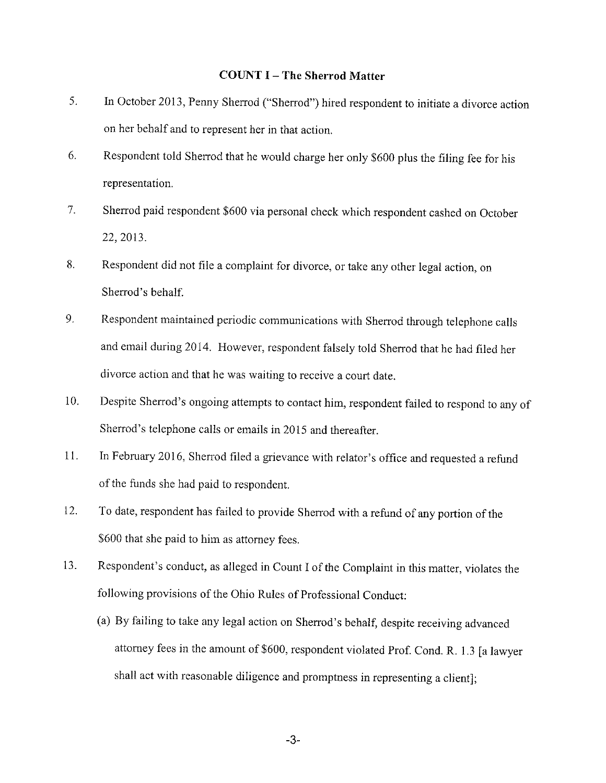## **COUNT** I - **The Sherrod Matter**

- 5. In October 2013, Penny Sherrod ("Sherrod") hired respondent to initiate a divorce action on her behalf and to represent her in that action.
- 6. Respondent told Sherrod that he would charge her only \$600 plus the filing fee for his representation.
- 7. Sherrod paid respondent \$600 via personal check which respondent cashed on October 22, 2013.
- 8. Respondent did not file a complaint for divorce, or take any other legal action, on Sherrod's behalf.
- 9. Respondent maintained periodic communications with Sherrod through telephone calls and email during 2014. However, respondent falsely told Sherrod that he had filed her divorce action and that he was waiting to receive a court date.
- 10. Despite Sherrod's ongoing attempts to contact him, respondent failed to respond to any of Sherrod's telephone calls or emails in 2015 and thereafter.
- 11. In February 2016, Sherrod filed a grievance with relator's office and requested a refund of the funds she had paid to respondent.
- 12. To date, respondent has failed to provide Sherrod with a refund of any portion of the \$600 that she paid to him as attorney fees.
- 13. Respondent's conduct, as alleged in Count I of the Complaint in this matter, violates the following provisions of the Ohio Rules of Professional Conduct:
	- (a) By failing to take any legal action on Sherrod's behalf, despite receiving advanced attorney fees in the amount of \$600, respondent violated Prof. Cond. R. 1.3 [a lawyer shall act with reasonable diligence and promptness in representing a client];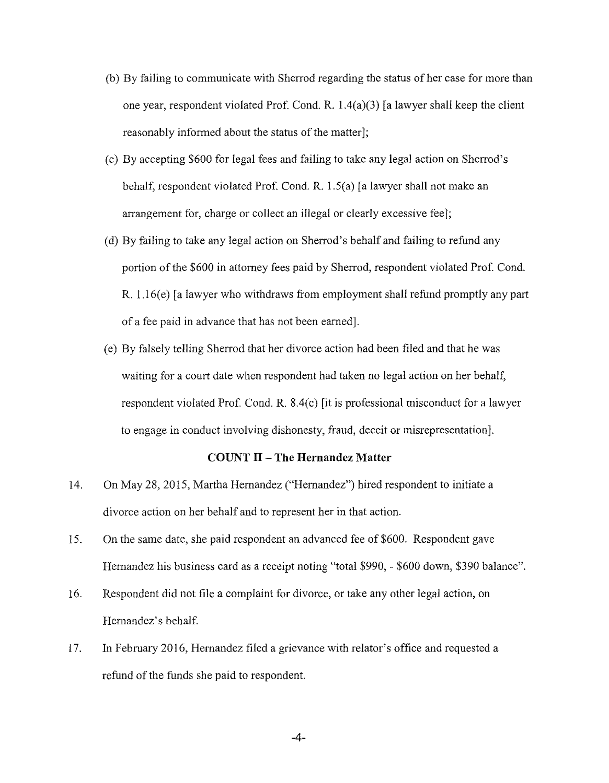- (b) By failing to communicate with Sherrod regarding the status of her case for more than one year, respondent violated Prof. Cond. R. 1.4(a)(3) [a lawyer shall keep the client reasonably informed about the status of the matter];
- (c) By accepting \$600 for legal fees and failing to take any legal action on Sherrod's behalf, respondent violated Prof. Cond. R. 1.5(a) [a lawyer shall not make an arrangement for, charge or collect an illegal or clearly excessive fee];
- (d) By failing to take any legal action on Sherrod's behalf and failing to refund any portion of the \$600 in attorney fees paid by Sherrod, respondent violated Prof. Cond. R.  $1.16(e)$  [a lawyer who withdraws from employment shall refund promptly any part of a fee paid in advance that has not been earned].
- ( e) By falsely telling Sherrod that her divorce action had been filed and that he was waiting for a court date when respondent had taken no legal action on her behalf, respondent violated Prof. Cond. R.  $8.4(c)$  [it is professional misconduct for a lawyer to engage in conduct involving dishonesty, fraud, deceit or misrepresentation].

## **COUNT** II - **The Hernandez Matter**

- 14. On May 28, 2015, Martha Hernandez ("Hernandez") hired respondent to initiate a divorce action on her behalf and to represent her in that action.
- 15. On the same date, she paid respondent an advanced fee of\$600. Respondent gave Hernandez his business card as a receipt noting "total \$990, - \$600 down, \$390 balance".
- 16. Respondent did not file a complaint for divorce, or take any other legal action, on Hernandez's behalf
- 17. In Febrnary 2016, Hernandez filed a grievance with relator's office and requested a refund of the funds she paid to respondent.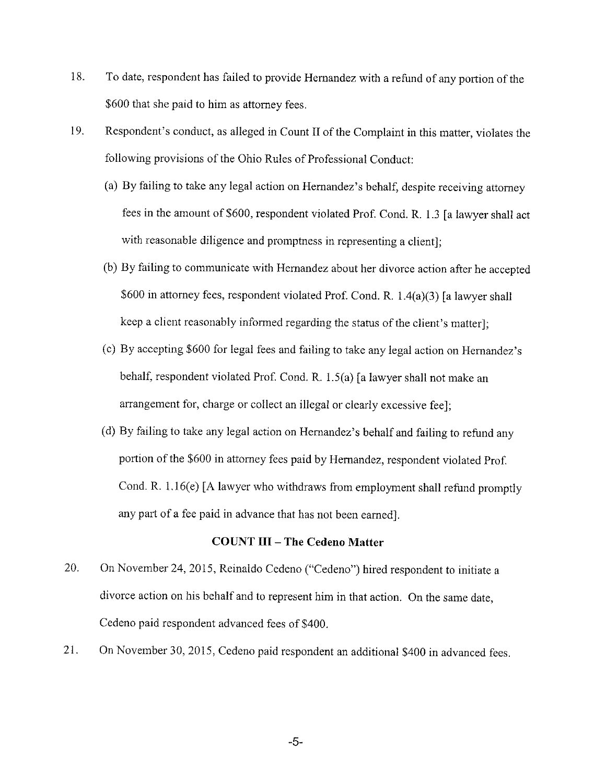- 18. To date, respondent has failed to provide Hernandez with a refund of any portion of the \$600 that she paid to him as attorney fees.
- 19. Respondent's conduct, as alleged in Count II of the Complaint in this matter, violates the following provisions of the Ohio Rules of Professional Conduct:
	- (a) By failing to take any legal action on Hernandez's behalf, despite receiving attorney fees in the amount of \$600, respondent violated Prof. Cond. R. 1.3 [a lawyer shall act with reasonable diligence and promptness in representing a client];
	- (b) By failing to communicate with Hernandez about her divorce action after he accepted \$600 in attorney fees, respondent violated Prof. Cond. R. 1.4(a)(3) [a lawyer shall keep a client reasonably informed regarding the status of the client's matter];
	- (c) By accepting \$600 for legal fees and failing to take any legal action on Hernandez's behalf, respondent violated Prof. Cond. R. 1.5(a) [a lawyer shall not make an arrangement for, charge or collect an illegal or clearly excessive fee];
	- (d) By failing to take any legal action on Hernandez's behalf and failing to refund any portion of the \$600 in attorney fees paid by Hernandez, respondent violated Prof. Cond. R.  $1.16(e)$  [A lawyer who withdraws from employment shall refund promptly any part of a fee paid in advance that has not been earned].

# **COUNT III - The Cedeno Matter**

- 20. On November 24, 2015, Reinaldo Cedeno ("Cedeno") hired respondent to initiate a divorce action on his behalf and to represent him in that action. On the same date, Cedeno paid respondent advanced fees of \$400.
- 21. On November 30, 2015, Cedeno paid respondent an additional \$400 in advanced fees.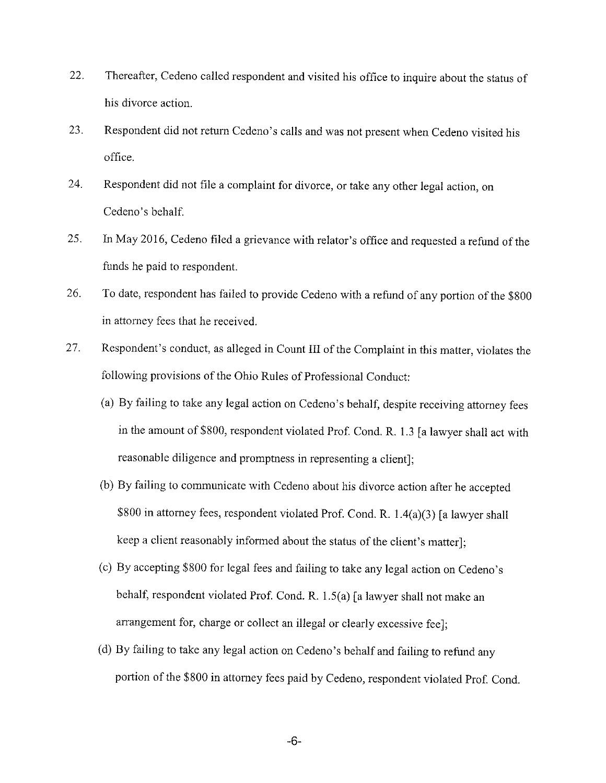- 22. Thereafter, Cedeno called respondent and visited his office to inquire about the status of his divorce action.
- 23. Respondent did not return Cedeno's calls and was not present when Cedeno visited his office.
- 24. Respondent did not file a complaint for divorce, or take any other legal action, on Cedeno's behalf.
- 25. In May 2016, Cedeno filed a grievance with relator's office and requested a refund of the funds he paid to respondent.
- 26. To date, respondent has failed to provide Cedeno with a refund of any portion of the \$800 in attorney fees that he received.
- 27. Respondent's conduct, as alleged in Count III of the Complaint in this matter, violates the following provisions of the Ohio Rules of Professional Conduct:
	- (a) By failing to take any legal action on Cedeno's behalf, despite receiving attorney fees in the amount of \$800, respondent violated Prof. Cond. R. 1.3 [a lawyer shall act with reasonable diligence and promptness in representing a client];
	- (b) By failing to communicate with Cedeno about his divorce action after he accepted \$800 in attorney fees, respondent violated Prof. Cond. R. l.4(a)(3) [a lawyer shall keep a client reasonably informed about the status of the client's matter];
	- (c) By accepting \$800 for legal fees and failing to take any legal action on Cedeno's behalf, respondent violated Prof. Cond. R. l.5(a) [a lawyer shall not make an arrangement for, charge or collect an illegal or clearly excessive fee];
	- (d) By failing to take any legal action on Cedeno's behalf and failing to refund any portion of the \$800 in attorney fees paid by Cedeno, respondent violated Prof. Cond.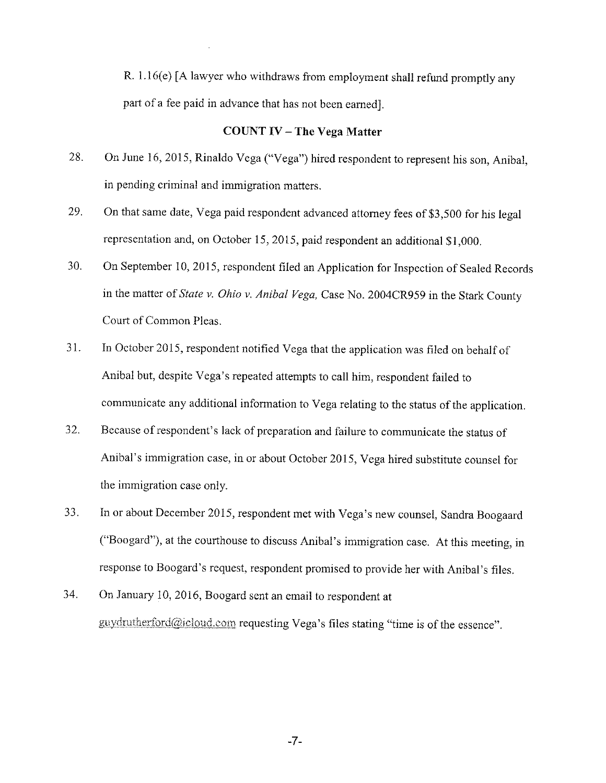R. 1.16(e) [A lawyer who withdraws from employment shall refund promptly any part of a fee paid in advance that has not been earned].

# **COUNT IV -The Vega Matter**

- 28. On June 16, 2015, Rinaldo Vega ("Vega") hired respondent to represent his son, Anibal, in pending criminal and immigration matters.
- 29. On that same date, Vega paid respondent advanced attorney fees of \$3,500 for his legal representation and, on October 15, 2015, paid respondent an additional \$1,000.
- 30. On September 10, 2015, respondent filed an Application for Inspection of Sealed Records in the matter of *State v. Ohio v. Anibal Vega,* Case No. 2004CR959 in the Stark County Court of Common Pleas.
- 31. In October 2015, respondent notified Vega that the application was filed on behalf of Anibal but, despite Vega's repeated attempts to call him, respondent failed to communicate any additional information to Vega relating to the status of the application.
- 32. Because ofrespondent's lack of preparation and failure to communicate the status of Anibal's immigration case, in or about October 2015, Vega hired substitute counsel for the immigration case only.
- 33. In or about December 2015, respondent met with Vega's new counsel, Sandra Boogaard ("Boogard"), at the courthouse to discuss Anibal's immigration case. At this meeting, in response to Boogard's request, respondent promised to provide her with Anibal's files.
- 34. On January 10, 2016, Boogard sent an email to respondent at guydrutherford@icloud.com requesting Vega's files stating "time is of the essence".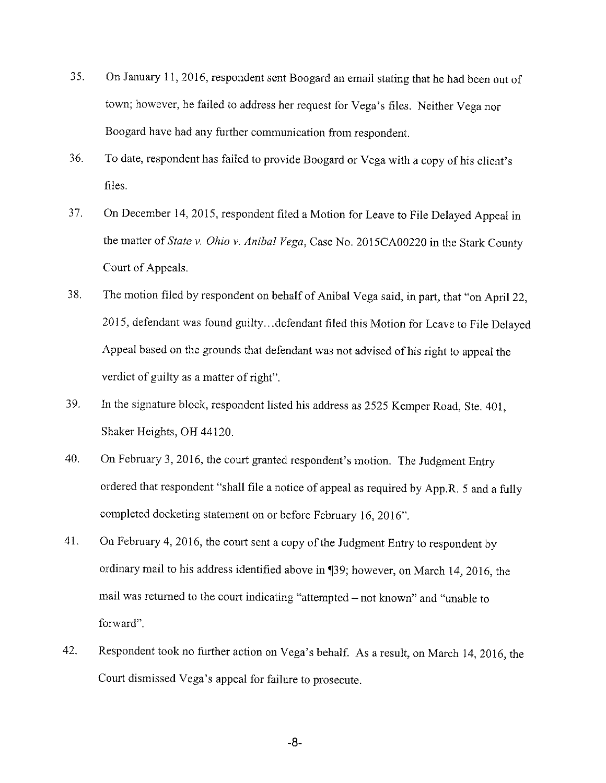- 35. On January 11, 2016, respondent sent Boogard an email stating that he had been out of town; however, he failed to address her request for Vega's files. Neither Vega nor Boogard have had any further communication from respondent.
- 36. To date, respondent has failed to provide Boogard or Vega with a copy of his client's files.
- 37. On December 14, 2015, respondent filed a Motion for Leave to File Delayed Appeal in the matter of *State v. Ohio v. Anibal Vega,* Case No. 2015CA00220 in the Stark County Court of Appeals.
- 38. The motion filed by respondent on behalf of Anibal Vega said, in part, that "on April 22, 2015, defendant was found guilty ... defendant filed this Motion for Leave to File Delayed Appeal based on the grounds that defendant was not advised of his right to appeal the verdict of guilty as a matter of right".
- 39. In the signature block, respondent listed his address as 2525 Kemper Road, Ste. 401, Shaker Heights, OH 44120.
- 40. On February 3, 2016, the court granted respondent's motion. The Judgment Entry ordered that respondent "shall file a notice of appeal as required by App.R. 5 and a fully completed docketing statement on or before February 16, 2016".
- 41. On February 4, 2016, the court sent a copy of the Judgment Entry to respondent by ordinary mail to his address identified above in ¶39; however, on March 14, 2016, the mail was returned to the court indicating "attempted - not known" and "unable to forward".
- 42. Respondent took no further action on Vega's behalf. As a result, on March 14, 2016, the Court dismissed Vega's appeal for failure to prosecute.

-8-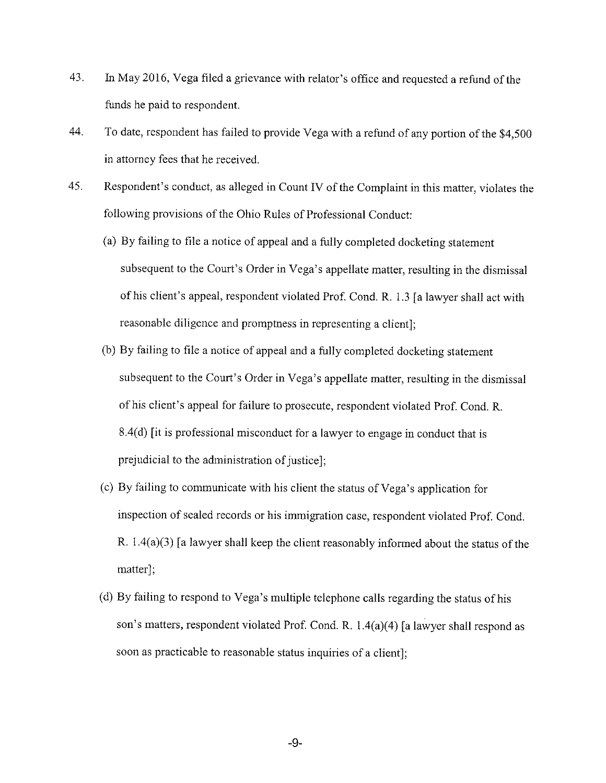- 43. In May 2016, Vega filed a grievance with relator's office and requested a refund of the funds he paid to respondent.
- 44. To date, respondent has failed to provide Vega with a refund of any portion of the \$4,500 in attorney fees that he received.
- 45. Respondent's conduct, as alleged in Count IV of the Complaint in this matter, violates the following provisions of the Ohio Rules of Professional Conduct:
	- ( a) By failing to file a notice of appeal and a fully completed docketing statement subsequent to the Court's Order in Vega's appellate matter, resulting in the dismissal of his client's appeal, respondent violated Prof. Cond. R. 1.3 [a lawyer shall act with reasonable diligence and promptness in representing a client];
	- (b) By failing to file a notice of appeal and a fully completed docketing statement subsequent to the Court's Order in Vega's appellate matter, resulting in the dismissal of his client's appeal for failure to prosecute, respondent violated Prof. Cond. R. 8.4(d) [it is professional misconduct for a lawyer to engage in conduct that is prejudicial to the administration of justice];
	- (c) By failing to communicate with his client the status of Vega's application for inspection of sealed records or his immigration case, respondent violated Prof. Cond. R. l.4(a)(3) [a lawyer shall keep the client reasonably informed about the status of the matter];
	- (d) By failing to respond to Vega's multiple telephone calls regarding the status of his son's matters, respondent violated Prof. Cond. R. 1.4(a)(4) [a lawyer shall respond as soon as practicable to reasonable status inquiries of a client];

-9-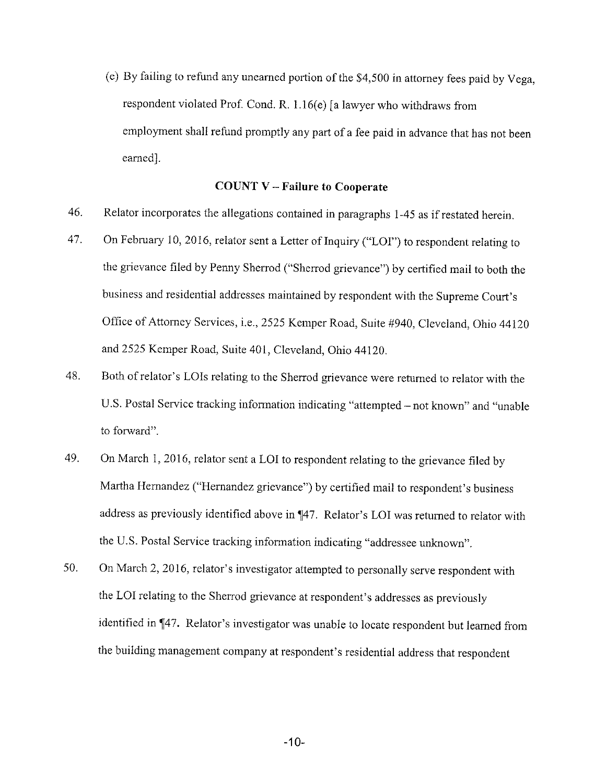( e) By failing to refund any unearned portion of the \$4,500 in attorney fees paid by Vega, respondent violated Prof. Cond. R.  $1.16(e)$  [a lawyer who withdraws from employment shall refund promptly any part of a fee paid in advance that has not been earned].

#### **COUNT V - Failure to Cooperate**

- 46. Relator incorporates the allegations contained in paragraphs 1-45 as if restated herein.
- 47. On February 10, 2016, relator sent a Letter of Inquiry ("LOI") to respondent relating to the grievance filed by Penny Sherrod ("Sherrod grievance") by certified mail to both the business and residential addresses maintained by respondent with the Supreme Court's Office of Attorney Services, i.e., 2525 Kemper Road, Suite #940, Cleveland, Ohio 44120 and 2525 Kemper Road, Suite 401, Cleveland, Ohio 44120.
- 48. Both of relator's LOIs relating to the Sherrod grievance were returned to relator with the U.S. Postal Service tracking information indicating "attempted- not known" and "unable to forward".
- 49. On March I, 2016, relator sent a LOI to respondent relating to the grievance filed by Martha Hernandez ("Hernandez grievance") by certified mail to respondent's business address as previously identified above in  $\P$ 47. Relator's LOI was returned to relator with the U.S. Postal Service tracking information indicating "addressee unknown".
- 50. On March 2, 2016, relator's investigator attempted to personally serve respondent with the LOI relating to the Sherrod grievance at respondent's addresses as previously identified in  $\P$ 47. Relator's investigator was unable to locate respondent but learned from the building management company at respondent's residential address that respondent

-10-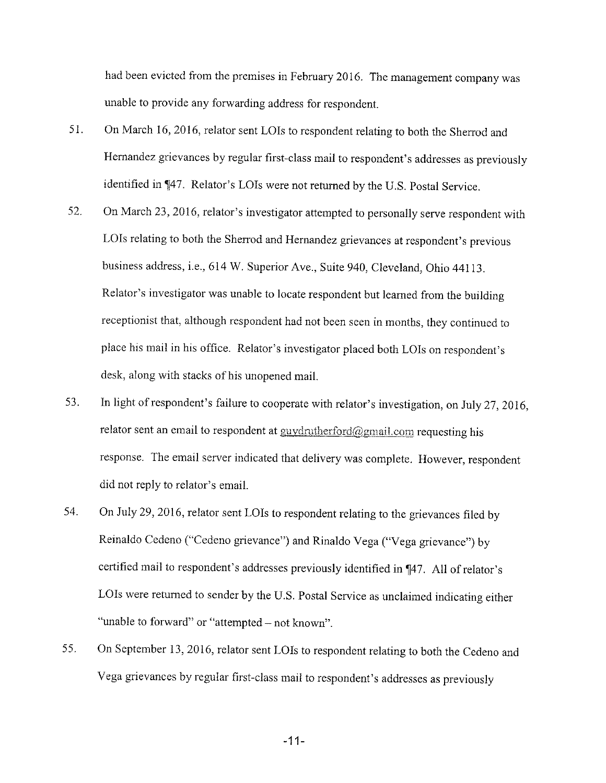had been evicted from the premises in February 2016. The management company was unable to provide any forwarding address for respondent.

- 51. On March 16, 2016, relator sent LOIs to respondent relating to both the Sherrod and Hernandez grievances by regular first-class mail to respondent's addresses as previously identified in  $\P$ 47. Relator's LOIs were not returned by the U.S. Postal Service.
- 52. On March 23, 2016, relator's investigator attempted to personally serve respondent with LOIs relating to both the Sherrod and Hernandez grievances at respondent's previous business address, i.e., 614 W. Superior Ave., Suite 940, Cleveland, Ohio 44113. Relator's investigator was unable to locate respondent but learned from the building receptionist that, although respondent had not been seen in months, they continued to place his mail in his office. Relator's investigator placed both LOis on respondent's desk, along with stacks of his unopened mail.
- 53. In light of respondent's failure to cooperate with relator's investigation, on July 27, 2016, relator sent an email to respondent at  $\frac{quvdrutherford(\mathcal{Q}gmail.com)}{equeetherford(\mathcal{Q}gmail.com)}$ response. The email server indicated that delivery was complete. However, respondent did not reply to relator's email.
- 54. On July 29, 2016, relator sent LOis to respondent relating to the grievances filed by Reinaldo Cedeno ("Cedeno grievance") and Rinaldo Vega ("Vega grievance") by certified mail to respondent's addresses previously identified in  $\P$ 47. All of relator's LOIs were returned to sender by the U.S. Postal Service as unclaimed indicating either "unable to forward" or "attempted - not known".
- 55. On September 13, 2016, relator sent LOis to respondent relating to both the Cedeno and Vega grievances by regular first-class mail to respondent's addresses as previously

-11-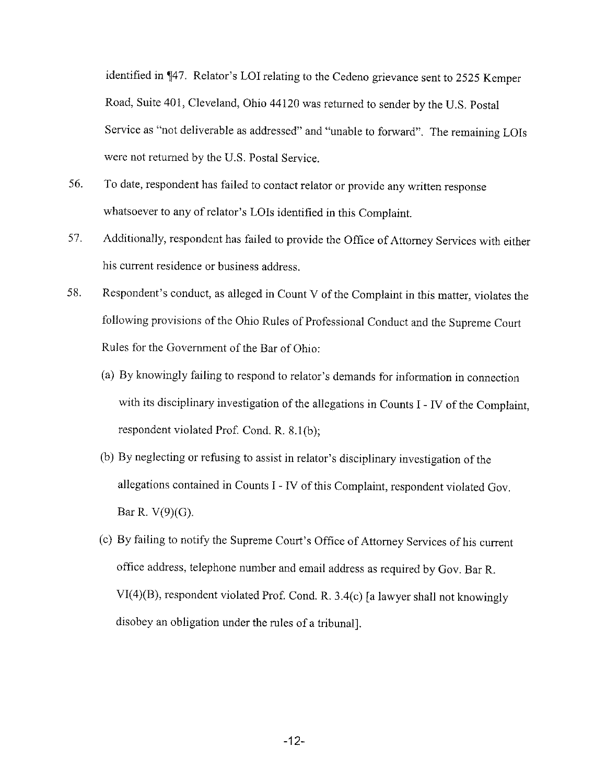identified in ¶47. Relator's LOI relating to the Cedeno grievance sent to 2525 Kemper Road, Suite 401, Cleveland, Ohio 44120 was returned to sender by the U.S. Postal Service as "not deliverable as addressed" and "unable to forward". The remaining LOis were not returned by the U.S. Postal Service.

- 56. To date, respondent has failed to contact relator or provide any written response whatsoever to any of relator's LOis identified in this Complaint.
- 57. Additionally, respondent has failed to provide the Office of Attorney Services with either his current residence or business address.
- 58. Respondent's conduct, as alleged in Count V of the Complaint in this matter, violates the following provisions of the Ohio Rules of Professional Conduct and the Supreme Court Rules for the Government of the Bar of Ohio:
	- (a) By knowingly failing to respond to relator's demands for information in connection with its disciplinary investigation of the allegations in Counts I - IV of the Complaint, respondent violated Prof. Cond. R. 8.1(b);
	- (b) By neglecting or refusing to assist in relator's disciplinary investigation of the allegations contained in Counts I - IV of this Complaint, respondent violated Gov. Bar R. V(9)(G).
	- (c) By failing to notify the Supreme Court's Office of Attorney Services of his current office address, telephone number and email address as required by Gov. Bar R. VI(4)(B), respondent violated Prof. Cond. R. 3.4(c) [a lawyer shall not knowingly disobey an obligation under the rules of a tribunal].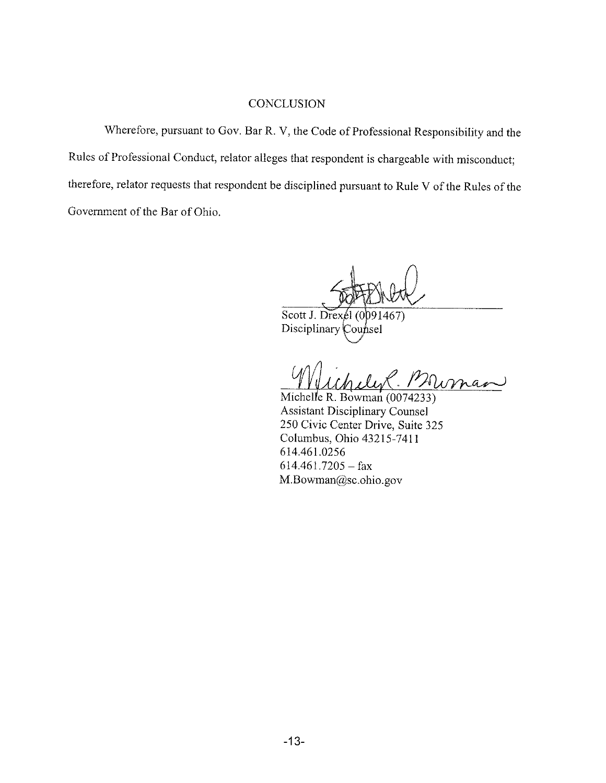# **CONCLUSION**

Wherefore, pursuant to Gov. Bar R. V, the Code of Professional Responsibility and the Rules of Professional Conduct, relator alleges that respondent is chargeable with misconduct; therefore, relator requests that respondent be disciplined pursuant to Rule V of the Rules of the Government of the Bar of Ohio.

Scott J. Drexél (0091467) Disciplinary Counsel

*Michelle R. Bowman (0074233)* Assistant Disciplinary Counsel 250 Civic Center Drive, Suite 325 Columbus, Ohio 43215-7411 614.461.0256  $614.461.7205 -$ fax M.Bowman@sc.ohio.gov